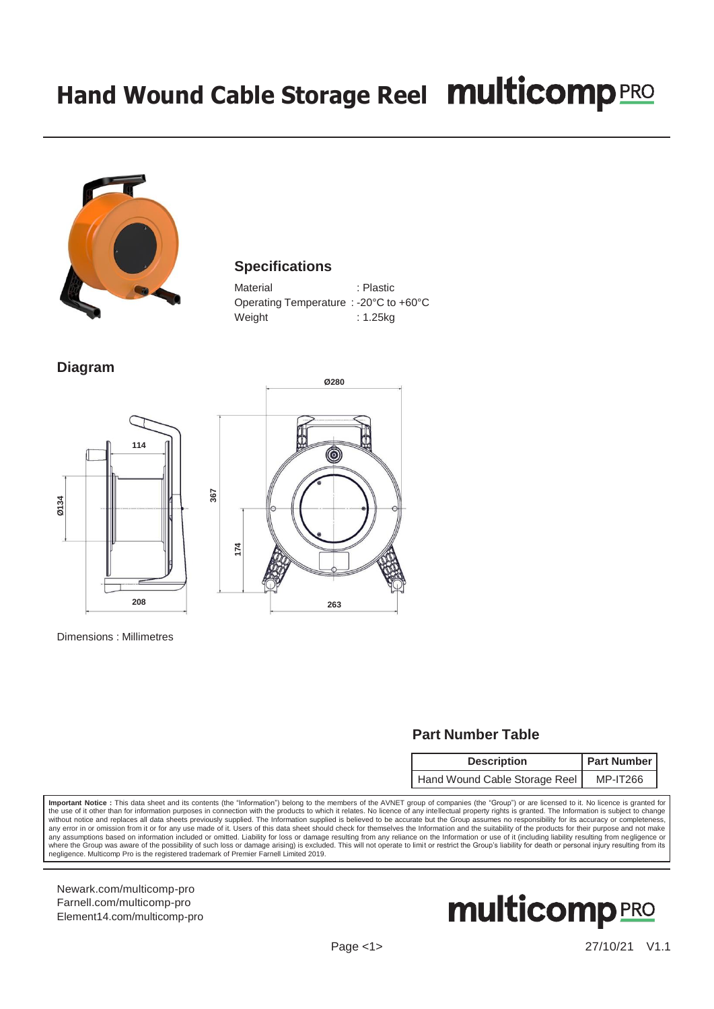## **Hand Wound Cable Storage Reel**



## **Specifications**

| Material                                                   | : Plastic |
|------------------------------------------------------------|-----------|
| Operating Temperature : -20 $\degree$ C to +60 $\degree$ C |           |
| Weight                                                     | : 1.25kg  |

**Diagram**





Dimensions : Millimetres

## **Part Number Table**

| <b>Description</b>            | <b>Part Number</b> |  |
|-------------------------------|--------------------|--|
| Hand Wound Cable Storage Reel | <b>MP-IT266</b>    |  |

**Important Notice :** This data sheet and its contents (the "Information") belong to the members of the AVNET group of companies (the "Group") or are licensed to it. No licence is granted for<br>the use of it other than for in any error in or omission from it or for any use made of it. Users of this data sheet should check for themselves the Information and the suitability of the products for their purpose and not make any assumptions based on information included or omitted. Liability for loss or damage resulting from any reliance on the Information or use of it (including liability resulting from negligence or<br>where the Group was aware negligence. Multicomp Pro is the registered trademark of Premier Farnell Limited 2019.

[Newark.com/multicomp-](https://www.newark.com/multicomp-pro)pro [Farnell.com/multicomp-](https://www.farnell.com/multicomp-pro)pro [Element14.com/multicomp-pro](https://element14.com/multicomp-pro)